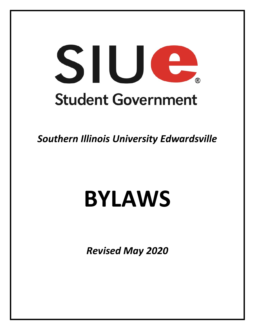# SIUG **Student Government**

*Southern Illinois University Edwardsville*

# **BYLAWS**

*Revised May 2020*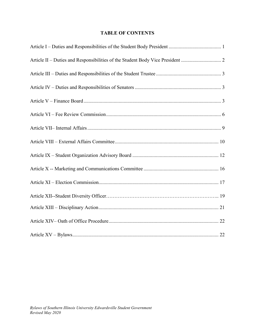# **TABLE OF CONTENTS**

| Article II - Duties and Responsibilities of the Student Body Vice President  2 |
|--------------------------------------------------------------------------------|
|                                                                                |
|                                                                                |
|                                                                                |
|                                                                                |
|                                                                                |
|                                                                                |
|                                                                                |
|                                                                                |
|                                                                                |
|                                                                                |
|                                                                                |
|                                                                                |
|                                                                                |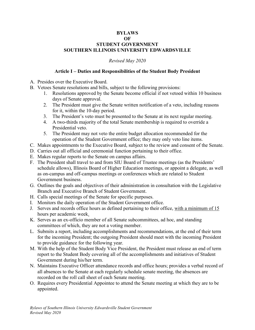#### **BYLAWS OF STUDENT GOVERNMENT SOUTHERN ILLINOIS UNIVERSITY EDWARDSVILLE**

*Revised May 2020*

#### **Article I – Duties and Responsibilities of the Student Body President**

- <span id="page-2-0"></span>A. Presides over the Executive Board.
- B. Vetoes Senate resolutions and bills, subject to the following provisions:
	- 1. Resolutions approved by the Senate become official if not vetoed within 10 business days of Senate approval.
	- 2. The President must give the Senate written notification of a veto, including reasons for it, within the 10-day period.
	- 3. The President's veto must be presented to the Senate at its next regular meeting.
	- 4. A two-thirds majority of the total Senate membership is required to override a Presidential veto.
	- 5. The President may not veto the entire budget allocation recommended for the operation of the Student Government office; they may only veto line items.
- C. Makes appointments to the Executive Board, subject to the review and consent of the Senate.
- D. Carries out all official and ceremonial function pertaining to their office.
- E. Makes regular reports to the Senate on campus affairs.
- F. The President shall travel to and from SIU Board of Trustee meetings (as the Presidents' schedule allows), Illinois Board of Higher Education meetings, or appoint a delegate, as well as on-campus and off-campus meetings or conferences which are related to Student Government business.
- G. Outlines the goals and objectives of their administration in consultation with the Legislative Branch and Executive Branch of Student Government.
- H. Calls special meetings of the Senate for specific purposes.
- I. Monitors the daily operation of the Student Government office.
- J. Serves and records office hours as defined pertaining to their office, with a minimum of 15 hours per academic week.
- K. Serves as an ex-officio member of all Senate subcommittees, ad hoc, and standing committees of which, they are not a voting member.
- L. Submits a report, including accomplishments and recommendations, at the end of their term for the incoming President; the outgoing President should meet with the incoming President to provide guidance for the following year.
- M. With the help of the Student Body Vice President, the President must release an end of term report to the Student Body covering all of the accomplishments and initiatives of Student Government during his/her term.
- N. Maintains Executive Officer attendance records and office hours; provides a verbal record of all absences to the Senate at each regularly schedule senate meeting, the absences are recorded on the roll call sheet of each Senate meeting.
- O. Requires every Presidential Appointee to attend the Senate meeting at which they are to be appointed.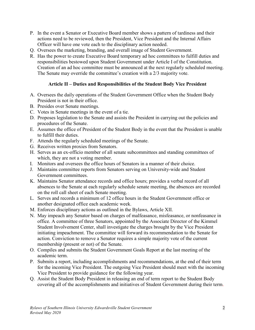- P. In the event a Senator or Executive Board member shows a pattern of tardiness and their actions need to be reviewed, then the President, Vice President and the Internal Affairs Officer will have one vote each to the disciplinary action needed.
- Q. Oversees the marketing, branding, and overall image of Student Government.
- R. Has the power to create Executive Board temporary ad hoc committees to fulfill duties and responsibilities bestowed upon Student Government under Article I of the Constitution. Creation of an ad hoc committee must be announced at the next regularly scheduled meeting. The Senate may override the committee's creation with a 2/3 majority vote.

# **Article II – Duties and Responsibilities of the Student Body Vice President**

- <span id="page-3-0"></span>A. Oversees the daily operations of the Student Government Office when the Student Body President is not in their office.
- B. Presides over Senate meetings.
- C. Votes in Senate meetings in the event of a tie.
- D. Proposes legislation to the Senate and assists the President in carrying out the policies and procedures of the Senate.
- E. Assumes the office of President of the Student Body in the event that the President is unable to fulfill their duties.
- F. Attends the regularly scheduled meetings of the Senate.
- G. Receives written proxies from Senators.
- H. Serves as an ex-officio member of all senate subcommittees and standing committees of which, they are not a voting member.
- I. Monitors and oversees the office hours of Senators in a manner of their choice.
- J. Maintains committee reports from Senators serving on University-wide and Student Government committees.
- K. Maintains Senator attendance records and office hours; provides a verbal record of all absences to the Senate at each regularly schedule senate meeting, the absences are recorded on the roll call sheet of each Senate meeting.
- L. Serves and records a minimum of 12 office hours in the Student Government office or another designated office each academic week.
- M. Enforces disciplinary actions as outlined in the Bylaws, Article XII.
- N. May impeach any Senator based on charges of malfeasance, misfeasance, or nonfeasance in office. A committee of three Senators, appointed by the Associate Director of the Kimmel Student Involvement Center, shall investigate the charges brought by the Vice President initiating impeachment. The committee will forward its recommendation to the Senate for action. Conviction to remove a Senator requires a simple majority vote of the current membership (present or not) of the Senate.
- O. Compiles and submits the Student Government Goals Report at the last meeting of the academic term.
- P. Submits a report, including accomplishments and recommendations, at the end of their term for the incoming Vice President. The outgoing Vice President should meet with the incoming Vice President to provide guidance for the following year.
- Q. Assist the Student Body President in releasing an end of term report to the Student Body covering all of the accomplishments and initiatives of Student Government during their term.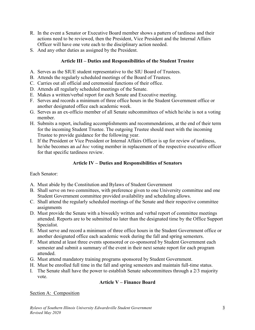- R. In the event a Senator or Executive Board member shows a pattern of tardiness and their actions need to be reviewed, then the President, Vice President and the Internal Affairs Officer will have one vote each to the disciplinary action needed.
- <span id="page-4-0"></span>S. And any other duties as assigned by the President.

# **Article III – Duties and Responsibilities of the Student Trustee**

- A. Serves as the SIUE student representative to the SIU Board of Trustees.
- B. Attends the regularly scheduled meetings of the Board of Trustees.
- C. Carries out all official and ceremonial functions of their office.
- D. Attends all regularly scheduled meetings of the Senate.
- E. Makes a written/verbal report for each Senate and Executive meeting.
- F. Serves and records a minimum of three office hours in the Student Government office or another designated office each academic week.
- G. Serves as an ex-officio member of all Senate subcommittees of which he/she is not a voting member.
- H. Submits a report, including accomplishments and recommendations, at the end of their term for the incoming Student Trustee. The outgoing Trustee should meet with the incoming Trustee to provide guidance for the following year.
- I. If the President or Vice President or Internal Affairs Officer is up for review of tardiness, he/she becomes an *ad hoc* voting member in replacement of the respective executive officer for that specific tardiness review.

# **Article IV – Duties and Responsibilities of Senators**

# <span id="page-4-1"></span>Each Senator:

- A. Must abide by the Constitution and Bylaws of Student Government
- B. Shall serve on two committees, with preference given to one University committee and one Student Government committee provided availability and scheduling allows.
- C. Shall attend the regularly scheduled meetings of the Senate and their respective committee assignments
- D. Must provide the Senate with a biweekly written and verbal report of committee meetings attended. Reports are to be submitted no later than the designated time by the Office Support Specialist.
- E. Must serve and record a minimum of three office hours in the Student Government office or another designated office each academic week during the fall and spring semesters.
- F. Must attend at least three events sponsored or co-sponsored by Student Government each semester and submit a summary of the event in their next senate report for each program attended.
- G. Must attend mandatory training programs sponsored by Student Government.
- H. Must be enrolled full time in the fall and spring semesters and maintain full-time status.
- <span id="page-4-2"></span>I. The Senate shall have the power to establish Senate subcommittees through a 2/3 majority vote.

# **Article V – Finance Board**

# Section A: Composition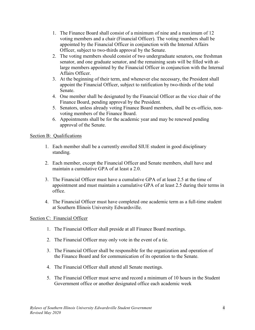- 1. The Finance Board shall consist of a minimum of nine and a maximum of 12 voting members and a chair (Financial Officer). The voting members shall be appointed by the Financial Officer in conjunction with the Internal Affairs Officer, subject to two-thirds approval by the Senate.
- 2. The voting members should consist of two undergraduate senators, one freshman senator, and one graduate senator, and the remaining seats will be filled with atlarge members appointed by the Financial Officer in conjunction with the Internal Affairs Officer.
- 3. At the beginning of their term, and whenever else necessary, the President shall appoint the Financial Officer, subject to ratification by two-thirds of the total Senate.
- 4. One member shall be designated by the Financial Officer as the vice chair of the Finance Board, pending approval by the President.
- 5. Senators, unless already voting Finance Board members, shall be ex-officio, nonvoting members of the Finance Board.
- 6. Appointments shall be for the academic year and may be renewed pending approval of the Senate.

#### Section B: Qualifications

- 1. Each member shall be a currently enrolled SIUE student in good disciplinary standing.
- 2. Each member, except the Financial Officer and Senate members, shall have and maintain a cumulative GPA of at least a 2.0.
- 3. The Financial Officer must have a cumulative GPA of at least 2.5 at the time of appointment and must maintain a cumulative GPA of at least 2.5 during their terms in office.
- 4. The Financial Officer must have completed one academic term as a full-time student at Southern Illinois University Edwardsville.

# Section C: Financial Officer

- 1. The Financial Officer shall preside at all Finance Board meetings.
- 2. The Financial Officer may only vote in the event of a tie.
- 3. The Financial Officer shall be responsible for the organization and operation of the Finance Board and for communication of its operation to the Senate.
- 4. The Financial Officer shall attend all Senate meetings.
- 5. The Financial Officer must serve and record a minimum of 10 hours in the Student Government office or another designated office each academic week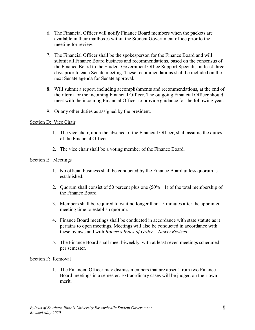- 6. The Financial Officer will notify Finance Board members when the packets are available in their mailboxes within the Student Government office prior to the meeting for review.
- 7. The Financial Officer shall be the spokesperson for the Finance Board and will submit all Finance Board business and recommendations, based on the consensus of the Finance Board to the Student Government Office Support Specialist at least three days prior to each Senate meeting. These recommendations shall be included on the next Senate agenda for Senate approval.
- 8. Will submit a report, including accomplishments and recommendations, at the end of their term for the incoming Financial Officer. The outgoing Financial Officer should meet with the incoming Financial Officer to provide guidance for the following year.
- 9. Or any other duties as assigned by the president.

# Section D: Vice Chair

- 1. The vice chair, upon the absence of the Financial Officer, shall assume the duties of the Financial Officer.
- 2. The vice chair shall be a voting member of the Finance Board.

# Section E: Meetings

- 1. No official business shall be conducted by the Finance Board unless quorum is established.
- 2. Quorum shall consist of 50 percent plus one  $(50\% + 1)$  of the total membership of the Finance Board.
- 3. Members shall be required to wait no longer than 15 minutes after the appointed meeting time to establish quorum.
- 4. Finance Board meetings shall be conducted in accordance with state statute as it pertains to open meetings. Meetings will also be conducted in accordance with these bylaws and with *Robert's Rules of Order – Newly Revised*.
- 5. The Finance Board shall meet biweekly, with at least seven meetings scheduled per semester.

#### Section F: Removal

1. The Financial Officer may dismiss members that are absent from two Finance Board meetings in a semester. Extraordinary cases will be judged on their own merit.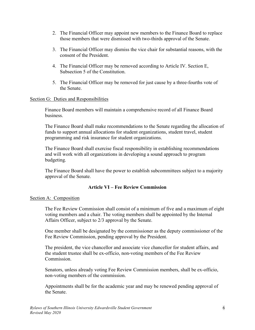- 2. The Financial Officer may appoint new members to the Finance Board to replace those members that were dismissed with two-thirds approval of the Senate.
- 3. The Financial Officer may dismiss the vice chair for substantial reasons, with the consent of the President.
- 4. The Financial Officer may be removed according to Article IV. Section E, Subsection 5 of the Constitution.
- 5. The Financial Officer may be removed for just cause by a three-fourths vote of the Senate.

#### Section G: Duties and Responsibilities

Finance Board members will maintain a comprehensive record of all Finance Board business.

The Finance Board shall make recommendations to the Senate regarding the allocation of funds to support annual allocations for student organizations, student travel, student programming and risk insurance for student organizations.

The Finance Board shall exercise fiscal responsibility in establishing recommendations and will work with all organizations in developing a sound approach to program budgeting.

The Finance Board shall have the power to establish subcommittees subject to a majority approval of the Senate.

# **Article VI – Fee Review Commission**

#### <span id="page-7-0"></span>Section A: Composition

The Fee Review Commission shall consist of a minimum of five and a maximum of eight voting members and a chair. The voting members shall be appointed by the Internal Affairs Officer, subject to 2/3 approval by the Senate.

One member shall be designated by the commissioner as the deputy commissioner of the Fee Review Commission, pending approval by the President.

The president, the vice chancellor and associate vice chancellor for student affairs, and the student trustee shall be ex-officio, non-voting members of the Fee Review Commission.

Senators, unless already voting Fee Review Commission members, shall be ex-officio, non-voting members of the commission.

Appointments shall be for the academic year and may be renewed pending approval of the Senate.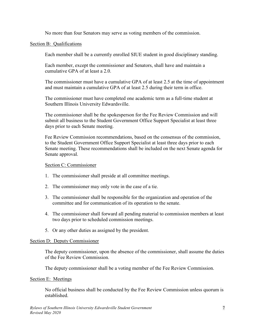No more than four Senators may serve as voting members of the commission.

#### Section B: Qualifications

Each member shall be a currently enrolled SIUE student in good disciplinary standing.

Each member, except the commissioner and Senators, shall have and maintain a cumulative GPA of at least a 2.0.

The commissioner must have a cumulative GPA of at least 2.5 at the time of appointment and must maintain a cumulative GPA of at least 2.5 during their term in office.

The commissioner must have completed one academic term as a full-time student at Southern Illinois University Edwardsville.

The commissioner shall be the spokesperson for the Fee Review Commission and will submit all business to the Student Government Office Support Specialist at least three days prior to each Senate meeting.

Fee Review Commission recommendations, based on the consensus of the commission, to the Student Government Office Support Specialist at least three days prior to each Senate meeting. These recommendations shall be included on the next Senate agenda for Senate approval.

# Section C: Commissioner

- 1. The commissioner shall preside at all committee meetings.
- 2. The commissioner may only vote in the case of a tie.
- 3. The commissioner shall be responsible for the organization and operation of the committee and for communication of its operation to the senate.
- 4. The commissioner shall forward all pending material to commission members at least two days prior to scheduled commission meetings.
- 5. Or any other duties as assigned by the president.

#### Section D: Deputy Commissioner

The deputy commissioner, upon the absence of the commissioner, shall assume the duties of the Fee Review Commission.

The deputy commissioner shall be a voting member of the Fee Review Commission.

#### Section E: Meetings

No official business shall be conducted by the Fee Review Commission unless quorum is established.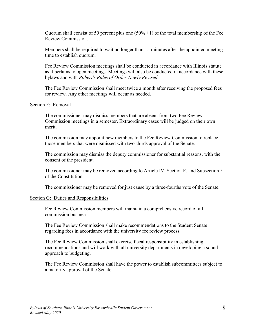Quorum shall consist of 50 percent plus one  $(50\% +1)$  of the total membership of the Fee Review Commission.

Members shall be required to wait no longer than 15 minutes after the appointed meeting time to establish quorum.

Fee Review Commission meetings shall be conducted in accordance with Illinois statute as it pertains to open meetings. Meetings will also be conducted in accordance with these bylaws and with *Robert's Rules of Order-Newly Revised.*

The Fee Review Commission shall meet twice a month after receiving the proposed fees for review. Any other meetings will occur as needed.

#### Section F: Removal

The commissioner may dismiss members that are absent from two Fee Review Commission meetings in a semester. Extraordinary cases will be judged on their own merit.

The commission may appoint new members to the Fee Review Commission to replace those members that were dismissed with two-thirds approval of the Senate.

The commission may dismiss the deputy commissioner for substantial reasons, with the consent of the president.

The commissioner may be removed according to Article IV, Section E, and Subsection 5 of the Constitution.

The commissioner may be removed for just cause by a three-fourths vote of the Senate.

#### Section G: Duties and Responsibilities

Fee Review Commission members will maintain a comprehensive record of all commission business.

The Fee Review Commission shall make recommendations to the Student Senate regarding fees in accordance with the university fee review process.

The Fee Review Commission shall exercise fiscal responsibility in establishing recommendations and will work with all university departments in developing a sound approach to budgeting.

The Fee Review Commission shall have the power to establish subcommittees subject to a majority approval of the Senate.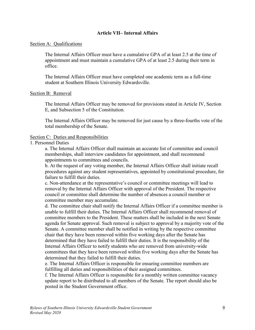# **Article VII– Internal Affairs**

#### <span id="page-10-0"></span>Section A: Qualifications

The Internal Affairs Officer must have a cumulative GPA of at least 2.5 at the time of appointment and must maintain a cumulative GPA of at least 2.5 during their term in office.

The Internal Affairs Officer must have completed one academic term as a full-time student at Southern Illinois University Edwardsville.

#### Section B: Removal

The Internal Affairs Officer may be removed for provisions stated in Article IV, Section E, and Subsection 5 of the Constitution.

The Internal Affairs Officer may be removed for just cause by a three-fourths vote of the total membership of the Senate.

#### Section C: Duties and Responsibilities

#### 1. Personnel Duties

a. The Internal Affairs Officer shall maintain an accurate list of committee and council memberships, shall interview candidates for appointment, and shall recommend appointments to committees and councils.

b. At the request of any voting member, the Internal Affairs Officer shall initiate recall procedures against any student representatives, appointed by constitutional procedure, for failure to fulfill their duties.

c. Non-attendance at the representative's council or committee meetings will lead to removal by the Internal Affairs Officer with approval of the President. The respective council or committee shall determine the number of absences a council member or committee member may accumulate.

d. The committee chair shall notify the Internal Affairs Officer if a committee member is unable to fulfill their duties. The Internal Affairs Officer shall recommend removal of committee members to the President. These matters shall be included in the next Senate agenda for Senate approval. Such removal is subject to approval by a majority vote of the Senate. A committee member shall be notified in writing by the respective committee chair that they have been removed within five working days after the Senate has determined that they have failed to fulfill their duties. It is the responsibility of the Internal Affairs Officer to notify students who are removed from university-wide committees that they have been removed within five working days after the Senate has determined that they failed to fulfill their duties.

e. The Internal Affairs Officer is responsible for ensuring committee members are fulfilling all duties and responsibilities of their assigned committees.

f. The Internal Affairs Officer is responsible for a monthly written committee vacancy update report to be distributed to all members of the Senate. The report should also be posted in the Student Government office.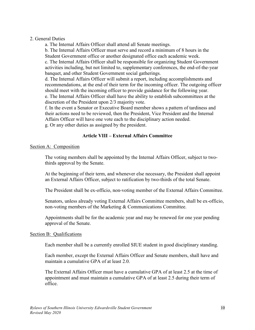#### 2. General Duties

a. The Internal Affairs Officer shall attend all Senate meetings. b. The Internal Affairs Officer must serve and record a minimum of 8 hours in the

Student Government office or another designated office each academic week.

c. The Internal Affairs Officer shall be responsible for organizing Student Government activities including, but not limited to, supplementary conferences, the end-of-the-year banquet, and other Student Government social gatherings.

d. The Internal Affairs Officer will submit a report, including accomplishments and recommendations, at the end of their term for the incoming officer. The outgoing officer should meet with the incoming officer to provide guidance for the following year. e. The Internal Affairs Officer shall have the ability to establish subcommittees at the discretion of the President upon 2/3 majority vote.

f. In the event a Senator or Executive Board member shows a pattern of tardiness and their actions need to be reviewed, then the President, Vice President and the Internal Affairs Officer will have one vote each to the disciplinary action needed. g. Or any other duties as assigned by the president.

# **Article VIII – External Affairs Committee**

#### <span id="page-11-0"></span>Section A: Composition

The voting members shall be appointed by the Internal Affairs Officer, subject to twothirds approval by the Senate.

At the beginning of their term, and whenever else necessary, the President shall appoint an External Affairs Officer, subject to ratification by two-thirds of the total Senate.

The President shall be ex-officio, non-voting member of the External Affairs Committee.

Senators, unless already voting External Affairs Committee members, shall be ex-officio, non-voting members of the Marketing & Communications Committee.

Appointments shall be for the academic year and may be renewed for one year pending approval of the Senate.

#### Section B: Qualifications

Each member shall be a currently enrolled SIUE student in good disciplinary standing.

Each member, except the External Affairs Officer and Senate members, shall have and maintain a cumulative GPA of at least 2.0.

The External Affairs Officer must have a cumulative GPA of at least 2.5 at the time of appointment and must maintain a cumulative GPA of at least 2.5 during their term of office.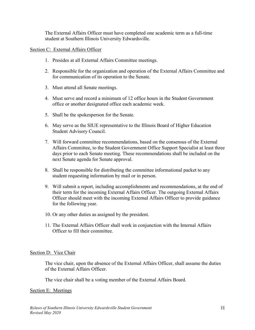The External Affairs Officer must have completed one academic term as a full-time student at Southern Illinois University Edwardsville.

#### Section C: External Affairs Officer

- 1. Presides at all External Affairs Committee meetings.
- 2. Responsible for the organization and operation of the External Affairs Committee and for communication of its operation to the Senate.
- 3. Must attend all Senate meetings.
- 4. Must serve and record a minimum of 12 office hours in the Student Government office or another designated office each academic week.
- 5. Shall be the spokesperson for the Senate.
- 6. May serve as the SIUE representative to the Illinois Board of Higher Education Student Advisory Council.
- 7. Will forward committee recommendations, based on the consensus of the External Affairs Committee, to the Student Government Office Support Specialist at least three days prior to each Senate meeting. These recommendations shall be included on the next Senate agenda for Senate approval.
- 8. Shall be responsible for distributing the committee informational packet to any student requesting information by mail or in person.
- 9. Will submit a report, including accomplishments and recommendations, at the end of their term for the incoming External Affairs Officer. The outgoing External Affairs Officer should meet with the incoming External Affairs Officer to provide guidance for the following year.
- 10. Or any other duties as assigned by the president.
- 11. The External Affairs Officer shall work in conjunction with the Internal Affairs Officer to fill their committee.

#### Section D: Vice Chair

The vice chair, upon the absence of the External Affairs Officer, shall assume the duties of the External Affairs Officer.

The vice chair shall be a voting member of the External Affairs Board.

#### Section E: Meetings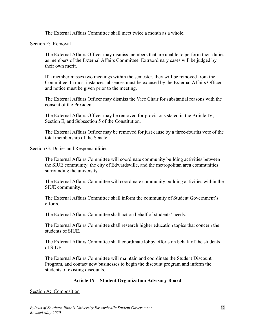The External Affairs Committee shall meet twice a month as a whole.

#### Section F: Removal

The External Affairs Officer may dismiss members that are unable to perform their duties as members of the External Affairs Committee. Extraordinary cases will be judged by their own merit.

If a member misses two meetings within the semester, they will be removed from the Committee. In most instances, absences must be excused by the External Affairs Officer and notice must be given prior to the meeting.

The External Affairs Officer may dismiss the Vice Chair for substantial reasons with the consent of the President.

The External Affairs Officer may be removed for provisions stated in the Article IV, Section E, and Subsection 5 of the Constitution.

The External Affairs Officer may be removed for just cause by a three-fourths vote of the total membership of the Senate.

#### Section G: Duties and Responsibilities

The External Affairs Committee will coordinate community building activities between the SIUE community, the city of Edwardsville, and the metropolitan area communities surrounding the university.

The External Affairs Committee will coordinate community building activities within the SIUE community.

The External Affairs Committee shall inform the community of Student Government's efforts.

The External Affairs Committee shall act on behalf of students' needs.

The External Affairs Committee shall research higher education topics that concern the students of SIUE.

The External Affairs Committee shall coordinate lobby efforts on behalf of the students of SIUE.

The External Affairs Committee will maintain and coordinate the Student Discount Program, and contact new businesses to begin the discount program and inform the students of existing discounts.

# **Article IX – Student Organization Advisory Board**

#### <span id="page-13-0"></span>Section A: Composition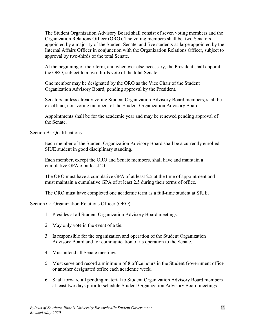The Student Organization Advisory Board shall consist of seven voting members and the Organization Relations Officer (ORO). The voting members shall be: two Senators appointed by a majority of the Student Senate, and five students-at-large appointed by the Internal Affairs Officer in conjunction with the Organization Relations Officer, subject to approval by two-thirds of the total Senate.

At the beginning of their term, and whenever else necessary, the President shall appoint the ORO, subject to a two-thirds vote of the total Senate.

One member may be designated by the ORO as the Vice Chair of the Student Organization Advisory Board, pending approval by the President.

Senators, unless already voting Student Organization Advisory Board members, shall be ex-officio, non-voting members of the Student Organization Advisory Board.

Appointments shall be for the academic year and may be renewed pending approval of the Senate.

#### Section B: Qualifications

Each member of the Student Organization Advisory Board shall be a currently enrolled SIUE student in good disciplinary standing.

Each member, except the ORO and Senate members, shall have and maintain a cumulative GPA of at least 2.0.

The ORO must have a cumulative GPA of at least 2.5 at the time of appointment and must maintain a cumulative GPA of at least 2.5 during their terms of office.

The ORO must have completed one academic term as a full-time student at SIUE.

#### Section C: Organization Relations Officer (ORO)

- 1. Presides at all Student Organization Advisory Board meetings.
- 2. May only vote in the event of a tie.
- 3. Is responsible for the organization and operation of the Student Organization Advisory Board and for communication of its operation to the Senate.
- 4. Must attend all Senate meetings.
- 5. Must serve and record a minimum of 8 office hours in the Student Government office or another designated office each academic week.
- 6. Shall forward all pending material to Student Organization Advisory Board members at least two days prior to schedule Student Organization Advisory Board meetings.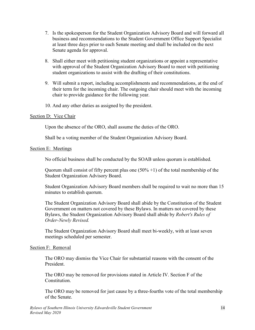- 7. Is the spokesperson for the Student Organization Advisory Board and will forward all business and recommendations to the Student Government Office Support Specialist at least three days prior to each Senate meeting and shall be included on the next Senate agenda for approval.
- 8. Shall either meet with petitioning student organizations or appoint a representative with approval of the Student Organization Advisory Board to meet with petitioning student organizations to assist with the drafting of their constitutions.
- 9. Will submit a report, including accomplishments and recommendations, at the end of their term for the incoming chair. The outgoing chair should meet with the incoming chair to provide guidance for the following year.
- 10. And any other duties as assigned by the president.

# Section D: Vice Chair

Upon the absence of the ORO, shall assume the duties of the ORO.

Shall be a voting member of the Student Organization Advisory Board.

#### Section E: Meetings

No official business shall be conducted by the SOAB unless quorum is established.

Quorum shall consist of fifty percent plus one  $(50\% + 1)$  of the total membership of the Student Organization Advisory Board.

Student Organization Advisory Board members shall be required to wait no more than 15 minutes to establish quorum.

The Student Organization Advisory Board shall abide by the Constitution of the Student Government on matters not covered by these Bylaws. In matters not covered by these Bylaws, the Student Organization Advisory Board shall abide by *Robert's Rules of Order-Newly Revised.*

The Student Organization Advisory Board shall meet bi-weekly, with at least seven meetings scheduled per semester.

#### Section F: Removal

The ORO may dismiss the Vice Chair for substantial reasons with the consent of the President.

The ORO may be removed for provisions stated in Article IV. Section F of the Constitution.

The ORO may be removed for just cause by a three-fourths vote of the total membership of the Senate.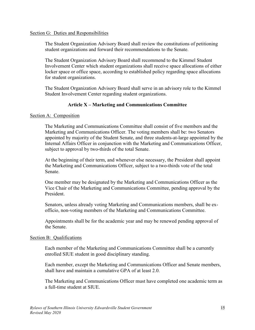#### Section G: Duties and Responsibilities

The Student Organization Advisory Board shall review the constitutions of petitioning student organizations and forward their recommendations to the Senate.

The Student Organization Advisory Board shall recommend to the Kimmel Student Involvement Center which student organizations shall receive space allocations of either locker space or office space, according to established policy regarding space allocations for student organizations.

The Student Organization Advisory Board shall serve in an advisory role to the Kimmel Student Involvement Center regarding student organizations.

# **Article X – Marketing and Communications Committee**

#### Section A: Composition

The Marketing and Communications Committee shall consist of five members and the Marketing and Communications Officer. The voting members shall be: two Senators appointed by majority of the Student Senate, and three students-at-large appointed by the Internal Affairs Officer in conjunction with the Marketing and Communications Officer, subject to approval by two-thirds of the total Senate.

At the beginning of their term, and whenever else necessary, the President shall appoint the Marketing and Communications Officer, subject to a two-thirds vote of the total Senate.

One member may be designated by the Marketing and Communications Officer as the Vice Chair of the Marketing and Communications Committee, pending approval by the President.

Senators, unless already voting Marketing and Communications members, shall be exofficio, non-voting members of the Marketing and Communications Committee.

Appointments shall be for the academic year and may be renewed pending approval of the Senate.

#### Section B: Qualifications

Each member of the Marketing and Communications Committee shall be a currently enrolled SIUE student in good disciplinary standing.

Each member, except the Marketing and Communications Officer and Senate members, shall have and maintain a cumulative GPA of at least 2.0.

The Marketing and Communications Officer must have completed one academic term as a full-time student at SIUE.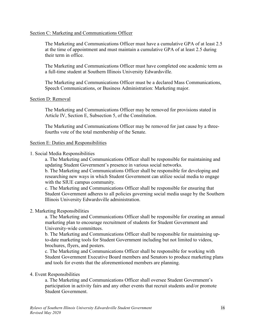#### Section C: Marketing and Communications Officer

The Marketing and Communications Officer must have a cumulative GPA of at least 2.5 at the time of appointment and must maintain a cumulative GPA of at least 2.5 during their term in office.

The Marketing and Communications Officer must have completed one academic term as a full-time student at Southern Illinois University Edwardsville.

The Marketing and Communications Officer must be a declared Mass Communications, Speech Communications, or Business Administration: Marketing major.

#### Section D: Removal

The Marketing and Communications Officer may be removed for provisions stated in Article IV, Section E, Subsection 5, of the Constitution.

The Marketing and Communications Officer may be removed for just cause by a threefourths vote of the total membership of the Senate.

#### Section E: Duties and Responsibilities

1. Social Media Responsibilities

a. The Marketing and Communications Officer shall be responsible for maintaining and updating Student Government's presence in various social networks.

b. The Marketing and Communications Officer shall be responsible for developing and researching new ways in which Student Government can utilize social media to engage with the SIUE campus community.

c. The Marketing and Communications Officer shall be responsible for ensuring that Student Government adheres to all policies governing social media usage by the Southern Illinois University Edwardsville administration.

#### 2. Marketing Responsibilities

a. The Marketing and Communications Officer shall be responsible for creating an annual marketing plan to encourage recruitment of students for Student Government and University-wide committees.

b. The Marketing and Communications Officer shall be responsible for maintaining upto-date marketing tools for Student Government including but not limited to videos, brochures, flyers, and posters.

c. The Marketing and Communications Officer shall be responsible for working with Student Government Executive Board members and Senators to produce marketing plans and tools for events that the aforementioned members are planning.

#### 4. Event Responsibilities

a. The Marketing and Communications Officer shall oversee Student Government's participation in activity fairs and any other events that recruit students and/or promote Student Government.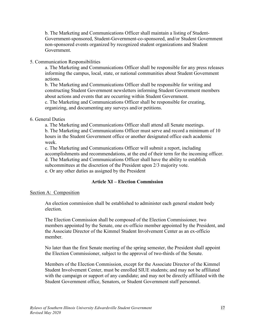b. The Marketing and Communications Officer shall maintain a listing of Student-Government-sponsored, Student-Government-co-sponsored, and/or Student Government non-sponsored events organized by recognized student organizations and Student Government.

#### 5. Communication Responsibilities

a. The Marketing and Communications Officer shall be responsible for any press releases informing the campus, local, state, or national communities about Student Government actions.

b. The Marketing and Communications Officer shall be responsible for writing and constructing Student Government newsletters informing Student Government members about actions and events that are occurring within Student Government.

c. The Marketing and Communications Officer shall be responsible for creating, organizing, and documenting any surveys and/or petitions.

#### 6. General Duties

a. The Marketing and Communications Officer shall attend all Senate meetings. b. The Marketing and Communications Officer must serve and record a minimum of 10 hours in the Student Government office or another designated office each academic week.

c. The Marketing and Communications Officer will submit a report, including accomplishments and recommendations, at the end of their term for the incoming officer. d. The Marketing and Communications Officer shall have the ability to establish subcommittees at the discretion of the President upon 2/3 majority vote. e. Or any other duties as assigned by the President

#### **Article XI – Election Commission**

#### <span id="page-18-0"></span>Section A: Composition

An election commission shall be established to administer each general student body election.

The Election Commission shall be composed of the Election Commissioner, two members appointed by the Senate, one ex-officio member appointed by the President, and the Associate Director of the Kimmel Student Involvement Center as an ex-officio member.

No later than the first Senate meeting of the spring semester, the President shall appoint the Election Commissioner, subject to the approval of two-thirds of the Senate.

Members of the Election Commission, except for the Associate Director of the Kimmel Student Involvement Center, must be enrolled SIUE students; and may not be affiliated with the campaign or support of any candidate; and may not be directly affiliated with the Student Government office, Senators, or Student Government staff personnel.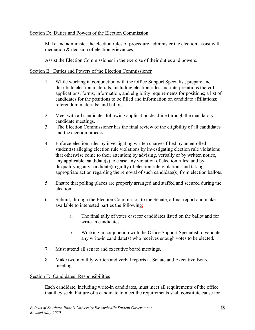# Section D: Duties and Powers of the Election Commission

Make and administer the election rules of procedure, administer the election, assist with mediation & decision of election grievances.

Assist the Election Commissioner in the exercise of their duties and powers.

# Section E: Duties and Powers of the Election Commissioner

- 1. While working in conjunction with the Office Support Specialist, prepare and distribute election materials, including election rules and interpretations thereof; applications, forms, information, and eligibility requirements for positions; a list of candidates for the positions to be filled and information on candidate affiliations; referendum materials; and ballots.
- 2. Meet with all candidates following application deadline through the mandatory candidate meetings.
- 3. The Election Commissioner has the final review of the eligibility of all candidates and the election process.
- 4. Enforce election rules by investigating written charges filled by an enrolled student(s) alleging election rule violations by investigating election rule violations that otherwise come to their attention; by advising, verbally or by written notice, any applicable candidate(s) to cease any violation of election rules; and by disqualifying any candidate(s) guilty of election rule violations and taking appropriate action regarding the removal of such candidate(s) from election ballots.
- 5. Ensure that polling places are properly arranged and staffed and secured during the election.
- 6. Submit, through the Election Commission to the Senate, a final report and make available to interested parties the following:
	- a. The final tally of votes cast for candidates listed on the ballot and for write-in candidates.
	- b. Working in conjunction with the Office Support Specialist to validate any write-in candidate(s) who receives enough votes to be elected.
- 7. Must attend all senate and executive board meetings.
- 8. Make two monthly written and verbal reports at Senate and Executive Board meetings.

# Section F: Candidates' Responsibilities

Each candidate, including write-in candidates, must meet all requirements of the office that they seek. Failure of a candidate to meet the requirements shall constitute cause for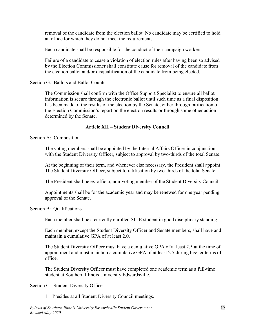removal of the candidate from the election ballot. No candidate may be certified to hold an office for which they do not meet the requirements.

Each candidate shall be responsible for the conduct of their campaign workers.

Failure of a candidate to cease a violation of election rules after having been so advised by the Election Commissioner shall constitute cause for removal of the candidate from the election ballot and/or disqualification of the candidate from being elected.

# Section G: Ballots and Ballot Counts

The Commission shall confirm with the Office Support Specialist to ensure all ballot information is secure through the electronic ballot until such time as a final disposition has been made of the results of the election by the Senate, either through ratification of the Election Commission's report on the election results or through some other action determined by the Senate.

# **Article XII – Student Diversity Council**

# Section A: Composition

The voting members shall be appointed by the Internal Affairs Officer in conjunction with the Student Diversity Officer, subject to approval by two-thirds of the total Senate.

At the beginning of their term, and whenever else necessary, the President shall appoint The Student Diversity Officer, subject to ratification by two-thirds of the total Senate.

The President shall be ex-officio, non-voting member of the Student Diversity Council.

Appointments shall be for the academic year and may be renewed for one year pending approval of the Senate.

# Section B: Qualifications

Each member shall be a currently enrolled SIUE student in good disciplinary standing.

Each member, except the Student Diversity Officer and Senate members, shall have and maintain a cumulative GPA of at least 2.0.

The Student Diversity Officer must have a cumulative GPA of at least 2.5 at the time of appointment and must maintain a cumulative GPA of at least 2.5 during his/her terms of office.

The Student Diversity Officer must have completed one academic term as a full-time student at Southern Illinois University Edwardsville.

# Section C: Student Diversity Officer

1. Presides at all Student Diversity Council meetings.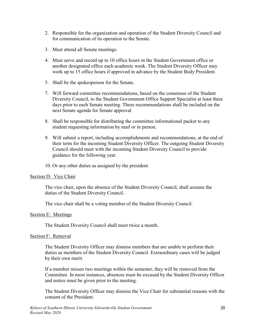- 2. Responsible for the organization and operation of the Student Diversity Council and for communication of its operation to the Senate.
- 3. Must attend all Senate meetings.
- 4. Must serve and record up to 10 office hours in the Student Government office or another designated office each academic week. The Student Diversity Officer may work up to 15 office hours if approved in advance by the Student Body President.
- 5. Shall be the spokesperson for the Senate.
- 7. Will forward committee recommendations, based on the consensus of the Student Diversity Council, to the Student Government Office Support Specialist at least three days prior to each Senate meeting. These recommendations shall be included on the next Senate agenda for Senate approval
- 8. Shall be responsible for distributing the committee informational packet to any student requesting information by mail or in person.
- 9. Will submit a report, including accomplishments and recommendations, at the end of their term for the incoming Student Diversity Officer. The outgoing Student Diversity Council should meet with the incoming Student Diversity Council to provide guidance for the following year.
- 10. Or any other duties as assigned by the president.

#### Section D: Vice Chair

The vice chair, upon the absence of the Student Diversity Council, shall assume the duties of the Student Diversity Council.

The vice chair shall be a voting member of the Student Diversity Council.

#### Section E: Meetings

The Student Diversity Council shall meet twice a month.

#### Section F: Removal

The Student Diversity Officer may dismiss members that are unable to perform their duties as members of the Student Diversity Council. Extraordinary cases will be judged by their own merit.

If a member misses two meetings within the semester, they will be removed from the Committee. In most instances, absences must be excused by the Student Diversity Officer and notice must be given prior to the meeting.

The Student Diversity Officer may dismiss the Vice Chair for substantial reasons with the consent of the President.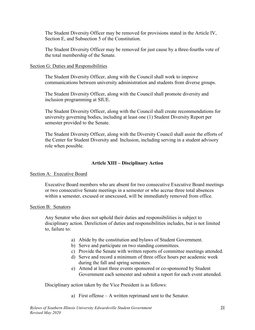The Student Diversity Officer may be removed for provisions stated in the Article IV, Section E, and Subsection 5 of the Constitution.

The Student Diversity Officer may be removed for just cause by a three-fourths vote of the total membership of the Senate.

#### Section G: Duties and Responsibilities

The Student Diversity Officer, along with the Council shall work to improve communications between university administration and students from diverse groups.

The Student Diversity Officer, along with the Council shall promote diversity and inclusion programming at SIUE.

The Student Diversity Officer, along with the Council shall create recommendations for university governing bodies, including at least one (1) Student Diversity Report per semester provided to the Senate.

The Student Diversity Officer, along with the Diversity Council shall assist the efforts of the Center for Student Diversity and Inclusion, including serving in a student advisory role when possible.

# **Article XIII – Disciplinary Action**

#### <span id="page-22-0"></span>Section A: Executive Board

Executive Board members who are absent for two consecutive Executive Board meetings or two consecutive Senate meetings in a semester or who accrue three total absences within a semester, excused or unexcused, will be immediately removed from office.

#### Section B: Senators

Any Senator who does not uphold their duties and responsibilities is subject to disciplinary action. Dereliction of duties and responsibilities includes, but is not limited to, failure to:

- a) Abide by the constitution and bylaws of Student Government.
- b) Serve and participate on two standing committees.
- c) Provide the Senate with written reports of committee meetings attended.
- d) Serve and record a minimum of three office hours per academic week during the fall and spring semesters.
- e) Attend at least three events sponsored or co-sponsored by Student Government each semester and submit a report for each event attended.

Disciplinary action taken by the Vice President is as follows:

a) First offense – A written reprimand sent to the Senator.